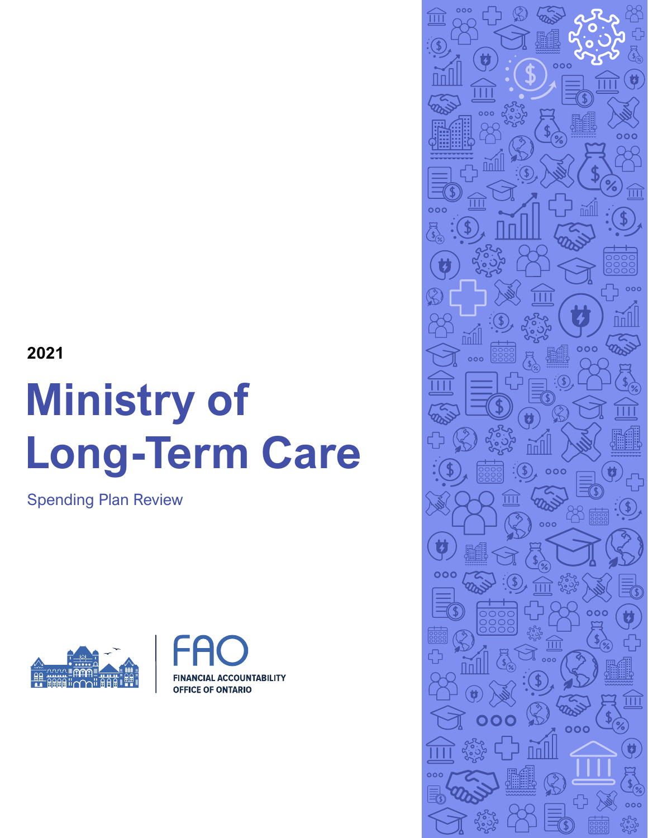## **2021**

# **Ministry of Long-Term Care**

Spending Plan Review





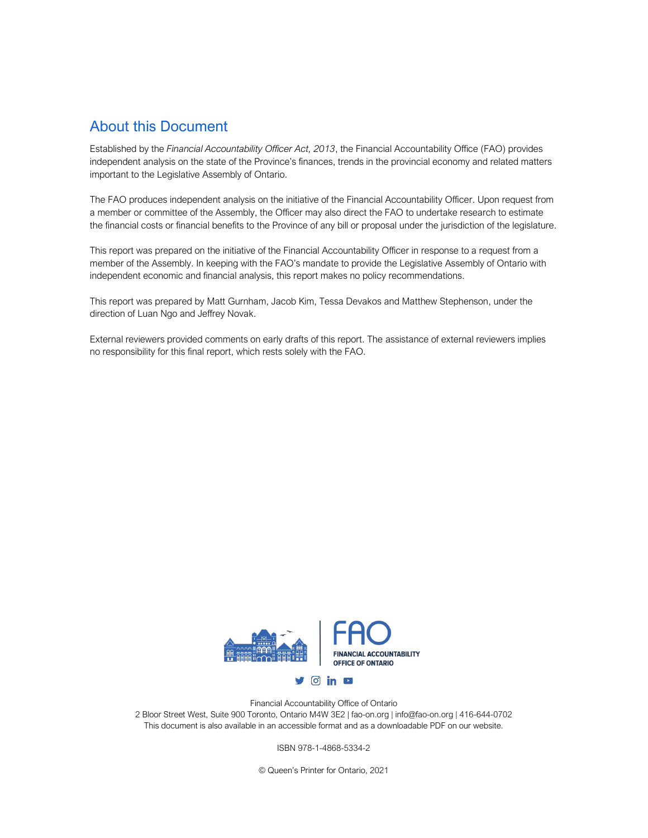#### About this Document

Established by the *Financial Accountability Officer Act, 2013*, the Financial Accountability Office (FAO) provides independent analysis on the state of the Province's finances, trends in the provincial economy and related matters important to the Legislative Assembly of Ontario.

The FAO produces independent analysis on the initiative of the Financial Accountability Officer. Upon request from a member or committee of the Assembly, the Officer may also direct the FAO to undertake research to estimate the financial costs or financial benefits to the Province of any bill or proposal under the jurisdiction of the legislature.

This report was prepared on the initiative of the Financial Accountability Officer in response to a request from a member of the Assembly. In keeping with the FAO's mandate to provide the Legislative Assembly of Ontario with independent economic and financial analysis, this report makes no policy recommendations.

This report was prepared by Matt Gurnham, Jacob Kim, Tessa Devakos and Matthew Stephenson, under the direction of Luan Ngo and Jeffrey Novak.

External reviewers provided comments on early drafts of this report. The assistance of external reviewers implies no responsibility for this final report, which rests solely with the FAO.



Financial Accountability Office of Ontario 2 Bloor Street West, Suite 900 Toronto, Ontario M4W 3E2 | fao-on.org | info@fao-on.org | 416-644-0702 This document is also available in an accessible format and as a downloadable PDF on our website.

ISBN 978-1-4868-5334-2

© Queen's Printer for Ontario, 2021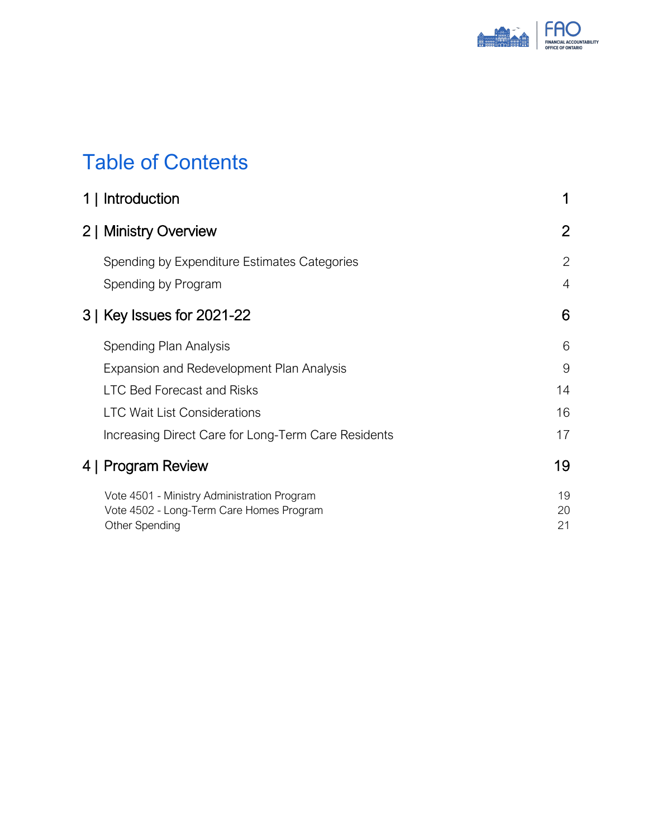

# Table of Contents

| 1   Introduction                                                                                          | 1              |
|-----------------------------------------------------------------------------------------------------------|----------------|
| 2   Ministry Overview                                                                                     | $\overline{2}$ |
| Spending by Expenditure Estimates Categories                                                              | $\overline{2}$ |
| Spending by Program                                                                                       | 4              |
| 3   Key Issues for 2021-22                                                                                | 6              |
| Spending Plan Analysis                                                                                    | 6              |
| Expansion and Redevelopment Plan Analysis                                                                 | 9              |
| <b>LTC Bed Forecast and Risks</b>                                                                         | 14             |
| <b>LTC Wait List Considerations</b>                                                                       | 16             |
| Increasing Direct Care for Long-Term Care Residents                                                       | 17             |
| 4   Program Review                                                                                        | 19             |
| Vote 4501 - Ministry Administration Program<br>Vote 4502 - Long-Term Care Homes Program<br>Other Spending | 19<br>20<br>21 |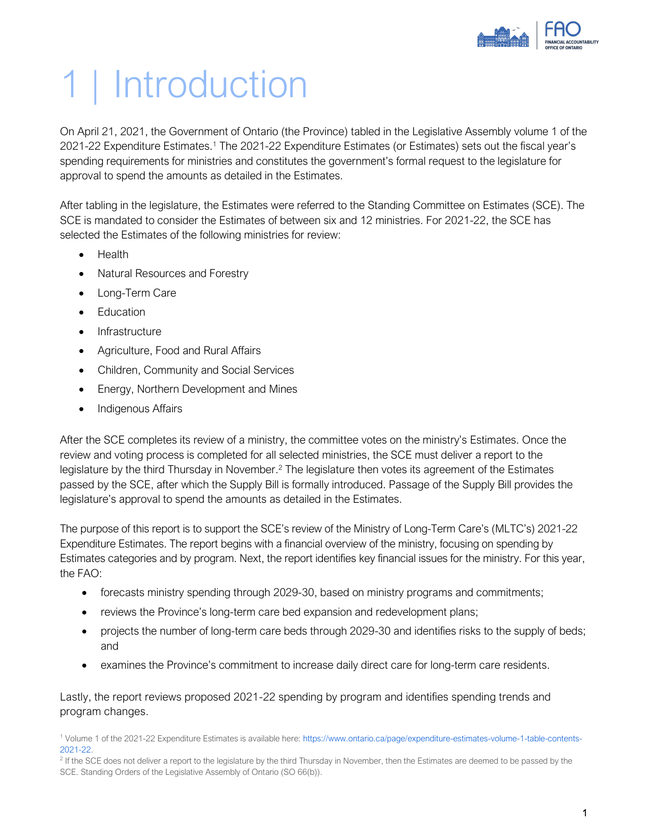

# <span id="page-3-0"></span>1 | Introduction

On April 21, 2021, the Government of Ontario (the Province) tabled in the Legislative Assembly volume 1 of the 2021-22 Expenditure Estimates.<sup>1</sup> The 2021-22 Expenditure Estimates (or Estimates) sets out the fiscal year's spending requirements for ministries and constitutes the government's formal request to the legislature for approval to spend the amounts as detailed in the Estimates.

After tabling in the legislature, the Estimates were referred to the Standing Committee on Estimates (SCE). The SCE is mandated to consider the Estimates of between six and 12 ministries. For 2021-22, the SCE has selected the Estimates of the following ministries for review:

- Health
- Natural Resources and Forestry
- Long-Term Care
- Education
- Infrastructure
- Agriculture, Food and Rural Affairs
- Children, Community and Social Services
- Energy, Northern Development and Mines
- Indigenous Affairs

After the SCE completes its review of a ministry, the committee votes on the ministry's Estimates. Once the review and voting process is completed for all selected ministries, the SCE must deliver a report to the legislature by the third Thursday in November.<sup>2</sup> The legislature then votes its agreement of the Estimates passed by the SCE, after which the Supply Bill is formally introduced. Passage of the Supply Bill provides the legislature's approval to spend the amounts as detailed in the Estimates.

The purpose of this report is to support the SCE's review of the Ministry of Long-Term Care's (MLTC's) 2021-22 Expenditure Estimates. The report begins with a financial overview of the ministry, focusing on spending by Estimates categories and by program. Next, the report identifies key financial issues for the ministry. For this year, the FAO:

- forecasts ministry spending through 2029-30, based on ministry programs and commitments;
- reviews the Province's long-term care bed expansion and redevelopment plans;
- projects the number of long-term care beds through 2029-30 and identifies risks to the supply of beds; and
- examines the Province's commitment to increase daily direct care for long-term care residents.

Lastly, the report reviews proposed 2021-22 spending by program and identifies spending trends and program changes.

<sup>1</sup> Volume 1 of the 2021-22 Expenditure Estimates is available here[: https://www.ontario.ca/page/expenditure-estimates-volume-1-table-contents-](https://www.ontario.ca/page/expenditure-estimates-volume-1-table-contents-2021-22)[2021-22.](https://www.ontario.ca/page/expenditure-estimates-volume-1-table-contents-2021-22)

<sup>&</sup>lt;sup>2</sup> If the SCE does not deliver a report to the legislature by the third Thursday in November, then the Estimates are deemed to be passed by the SCE. Standing Orders of the Legislative Assembly of Ontario (SO 66(b)).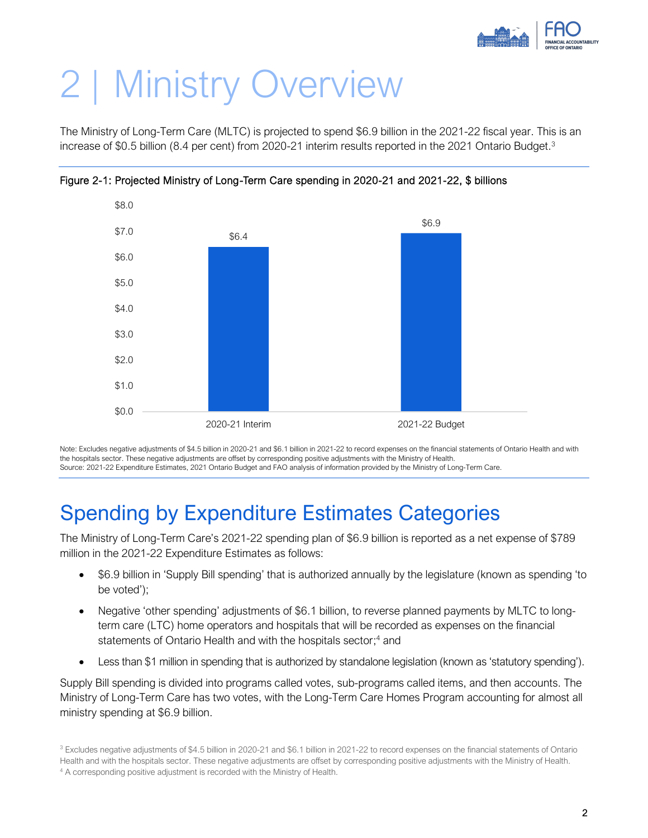

# <span id="page-4-0"></span>2 | Ministry Overview

The Ministry of Long-Term Care (MLTC) is projected to spend \$6.9 billion in the 2021-22 fiscal year. This is an increase of \$0.5 billion (8.4 per cent) from 2020-21 interim results reported in the 2021 Ontario Budget.<sup>3</sup>



Figure 2-1: Projected Ministry of Long-Term Care spending in 2020-21 and 2021-22, \$ billions

Note: Excludes negative adjustments of \$4.5 billion in 2020-21 and \$6.1 billion in 2021-22 to record expenses on the financial statements of Ontario Health and with the hospitals sector. These negative adjustments are offset by corresponding positive adjustments with the Ministry of Health. Source: 2021-22 Expenditure Estimates, 2021 Ontario Budget and FAO analysis of information provided by the Ministry of Long-Term Care.

# <span id="page-4-1"></span>Spending by Expenditure Estimates Categories

The Ministry of Long-Term Care's 2021-22 spending plan of \$6.9 billion is reported as a net expense of \$789 million in the 2021-22 Expenditure Estimates as follows:

- \$6.9 billion in 'Supply Bill spending' that is authorized annually by the legislature (known as spending 'to be voted');
- Negative 'other spending' adjustments of \$6.1 billion, to reverse planned payments by MLTC to longterm care (LTC) home operators and hospitals that will be recorded as expenses on the financial statements of Ontario Health and with the hospitals sector; <sup>4</sup> and
- Less than \$1 million in spending that is authorized by standalone legislation (known as 'statutory spending').

Supply Bill spending is divided into programs called votes, sub-programs called items, and then accounts. The Ministry of Long-Term Care has two votes, with the Long-Term Care Homes Program accounting for almost all ministry spending at \$6.9 billion.

<sup>&</sup>lt;sup>3</sup> Excludes negative adjustments of \$4.5 billion in 2020-21 and \$6.1 billion in 2021-22 to record expenses on the financial statements of Ontario

Health and with the hospitals sector. These negative adjustments are offset by corresponding positive adjustments with the Ministry of Health.

<sup>&</sup>lt;sup>4</sup> A corresponding positive adjustment is recorded with the Ministry of Health.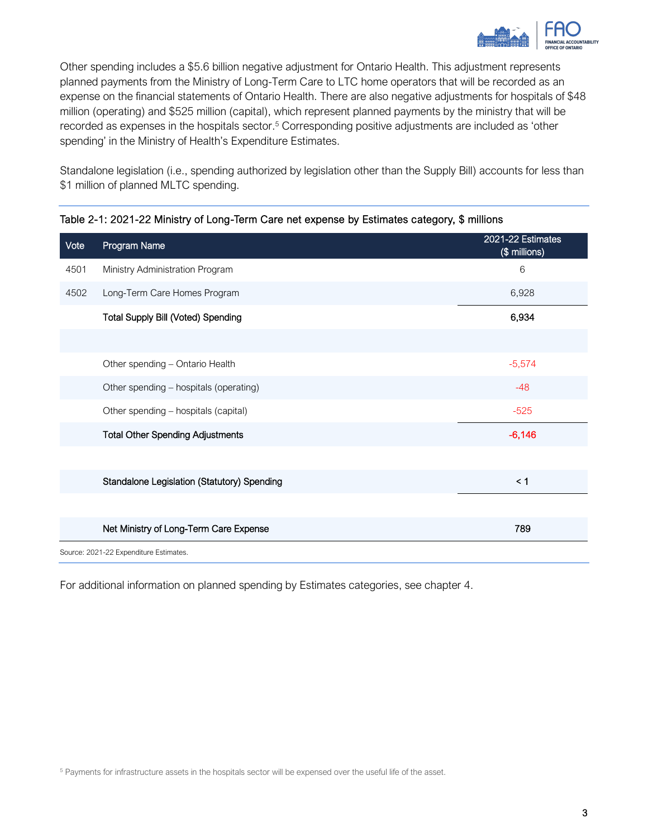

Other spending includes a \$5.6 billion negative adjustment for Ontario Health. This adjustment represents planned payments from the Ministry of Long-Term Care to LTC home operators that will be recorded as an expense on the financial statements of Ontario Health. There are also negative adjustments for hospitals of \$48 million (operating) and \$525 million (capital), which represent planned payments by the ministry that will be recorded as expenses in the hospitals sector.<sup>5</sup> Corresponding positive adjustments are included as 'other spending' in the Ministry of Health's Expenditure Estimates.

Standalone legislation (i.e., spending authorized by legislation other than the Supply Bill) accounts for less than \$1 million of planned MLTC spending.

| Vote | Program Name                                       | 2021-22 Estimates<br>(\$ millions) |
|------|----------------------------------------------------|------------------------------------|
| 4501 | Ministry Administration Program                    | 6                                  |
| 4502 | Long-Term Care Homes Program                       | 6,928                              |
|      | <b>Total Supply Bill (Voted) Spending</b>          | 6,934                              |
|      |                                                    |                                    |
|      | Other spending - Ontario Health                    | $-5,574$                           |
|      | Other spending - hospitals (operating)             | $-48$                              |
|      | Other spending - hospitals (capital)               | $-525$                             |
|      | <b>Total Other Spending Adjustments</b>            | $-6,146$                           |
|      |                                                    |                                    |
|      | <b>Standalone Legislation (Statutory) Spending</b> | < 1                                |
|      |                                                    |                                    |
|      | Net Ministry of Long-Term Care Expense             | 789                                |
|      | Source: 2021-22 Expenditure Estimates.             |                                    |

#### Table 2-1: 2021-22 Ministry of Long-Term Care net expense by Estimates category, \$ millions

For additional information on planned spending by Estimates categories, see chapter 4.

<sup>5</sup> Payments for infrastructure assets in the hospitals sector will be expensed over the useful life of the asset.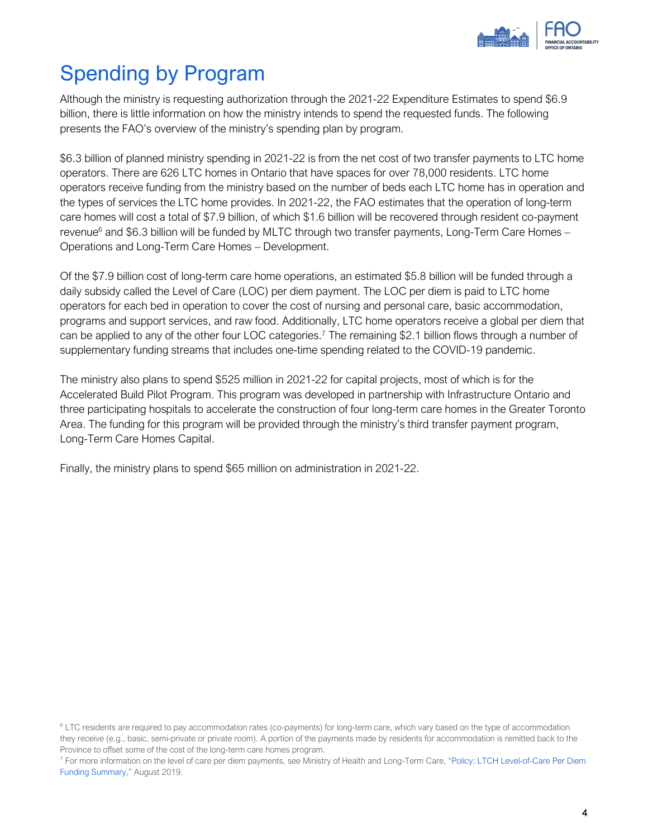

# <span id="page-6-0"></span>Spending by Program

Although the ministry is requesting authorization through the 2021-22 Expenditure Estimates to spend \$6.9 billion, there is little information on how the ministry intends to spend the requested funds. The following presents the FAO's overview of the ministry's spending plan by program.

\$6.3 billion of planned ministry spending in 2021-22 is from the net cost of two transfer payments to LTC home operators. There are 626 LTC homes in Ontario that have spaces for over 78,000 residents. LTC home operators receive funding from the ministry based on the number of beds each LTC home has in operation and the types of services the LTC home provides. In 2021-22, the FAO estimates that the operation of long-term care homes will cost a total of \$7.9 billion, of which \$1.6 billion will be recovered through resident co-payment revenue<sup>6</sup> and \$6.3 billion will be funded by MLTC through two transfer payments, Long-Term Care Homes – Operations and Long-Term Care Homes – Development.

Of the \$7.9 billion cost of long-term care home operations, an estimated \$5.8 billion will be funded through a daily subsidy called the Level of Care (LOC) per diem payment. The LOC per diem is paid to LTC home operators for each bed in operation to cover the cost of nursing and personal care, basic accommodation, programs and support services, and raw food. Additionally, LTC home operators receive a global per diem that can be applied to any of the other four LOC categories.<sup>7</sup> The remaining \$2.1 billion flows through a number of supplementary funding streams that includes one-time spending related to the COVID-19 pandemic.

The ministry also plans to spend \$525 million in 2021-22 for capital projects, most of which is for the Accelerated Build Pilot Program. This program was developed in partnership with Infrastructure Ontario and three participating hospitals to accelerate the construction of four long-term care homes in the Greater Toronto Area. The funding for this program will be provided through the ministry's third transfer payment program, Long-Term Care Homes Capital.

Finally, the ministry plans to spend \$65 million on administration in 2021-22.

<sup>&</sup>lt;sup>6</sup> LTC residents are required to pay accommodation rates (co-payments) for long-term care, which vary based on the type of accommodation they receive (e.g., basic, semi-private or private room). A portion of the payments made by residents for accommodation is remitted back to the Province to offset some of the cost of the long-term care homes program.

<sup>&</sup>lt;sup>7</sup> For more information on the level of care per diem payments, see Ministry of Health and Long-Term Care, "Policy: LTCH Level-of-Care Per Diem [Funding Summary](https://www.health.gov.on.ca/en/public/programs/ltc/docs/level_of_care_per_diem_funding_summary_201908.pdf)," August 2019.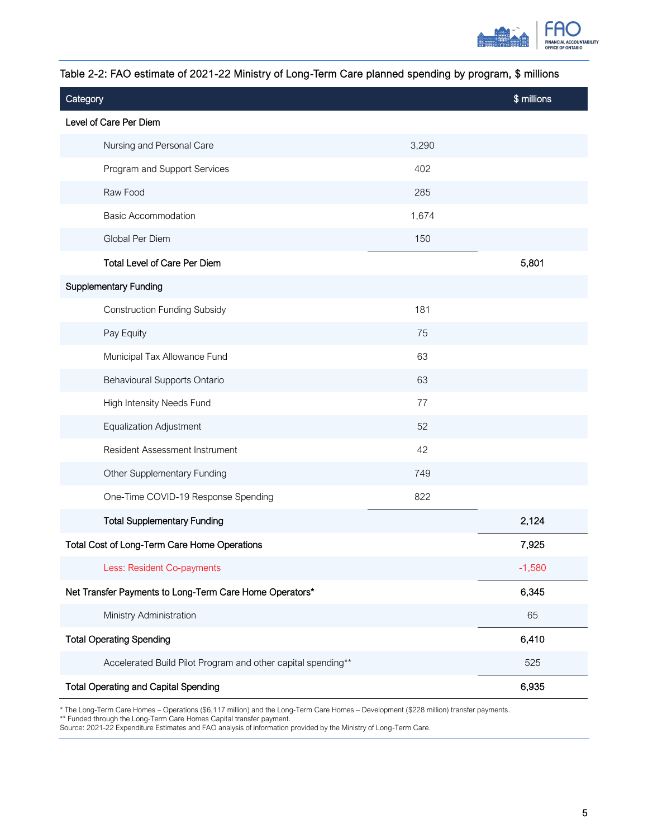

| Category                                                     |       | \$ millions |
|--------------------------------------------------------------|-------|-------------|
| Level of Care Per Diem                                       |       |             |
| Nursing and Personal Care                                    | 3,290 |             |
| Program and Support Services                                 | 402   |             |
| Raw Food                                                     | 285   |             |
| <b>Basic Accommodation</b>                                   | 1,674 |             |
| Global Per Diem                                              | 150   |             |
| Total Level of Care Per Diem                                 |       | 5,801       |
| <b>Supplementary Funding</b>                                 |       |             |
| <b>Construction Funding Subsidy</b>                          | 181   |             |
| Pay Equity                                                   | 75    |             |
| Municipal Tax Allowance Fund                                 | 63    |             |
| Behavioural Supports Ontario                                 | 63    |             |
| High Intensity Needs Fund                                    | 77    |             |
| <b>Equalization Adjustment</b>                               | 52    |             |
| Resident Assessment Instrument                               | 42    |             |
| Other Supplementary Funding                                  | 749   |             |
| One-Time COVID-19 Response Spending                          | 822   |             |
| <b>Total Supplementary Funding</b>                           |       | 2,124       |
| Total Cost of Long-Term Care Home Operations                 |       | 7,925       |
| Less: Resident Co-payments                                   |       | $-1,580$    |
| Net Transfer Payments to Long-Term Care Home Operators*      |       | 6,345       |
| Ministry Administration                                      |       | 65          |
| <b>Total Operating Spending</b>                              |       | 6,410       |
| Accelerated Build Pilot Program and other capital spending** |       | 525         |
| <b>Total Operating and Capital Spending</b>                  |       | 6,935       |

#### Table 2-2: FAO estimate of 2021-22 Ministry of Long-Term Care planned spending by program, \$ millions

\* The Long-Term Care Homes – Operations (\$6,117 million) and the Long-Term Care Homes – Development (\$228 million) transfer payments.

\*\* Funded through the Long-Term Care Homes Capital transfer payment.

Source: 2021-22 Expenditure Estimates and FAO analysis of information provided by the Ministry of Long-Term Care.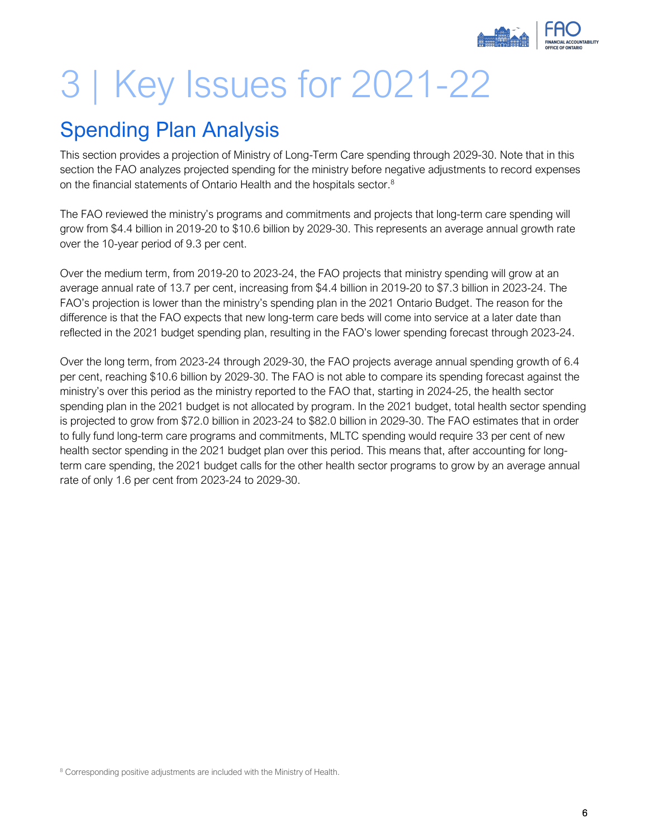

# <span id="page-8-0"></span>3 | Key Issues for 2021-22

## <span id="page-8-1"></span>Spending Plan Analysis

This section provides a projection of Ministry of Long-Term Care spending through 2029-30. Note that in this section the FAO analyzes projected spending for the ministry before negative adjustments to record expenses on the financial statements of Ontario Health and the hospitals sector.<sup>8</sup>

The FAO reviewed the ministry's programs and commitments and projects that long-term care spending will grow from \$4.4 billion in 2019-20 to \$10.6 billion by 2029-30. This represents an average annual growth rate over the 10-year period of 9.3 per cent.

Over the medium term, from 2019-20 to 2023-24, the FAO projects that ministry spending will grow at an average annual rate of 13.7 per cent, increasing from \$4.4 billion in 2019-20 to \$7.3 billion in 2023-24. The FAO's projection is lower than the ministry's spending plan in the 2021 Ontario Budget. The reason for the difference is that the FAO expects that new long-term care beds will come into service at a later date than reflected in the 2021 budget spending plan, resulting in the FAO's lower spending forecast through 2023-24.

Over the long term, from 2023-24 through 2029-30, the FAO projects average annual spending growth of 6.4 per cent, reaching \$10.6 billion by 2029-30. The FAO is not able to compare its spending forecast against the ministry's over this period as the ministry reported to the FAO that, starting in 2024-25, the health sector spending plan in the 2021 budget is not allocated by program. In the 2021 budget, total health sector spending is projected to grow from \$72.0 billion in 2023-24 to \$82.0 billion in 2029-30. The FAO estimates that in order to fully fund long-term care programs and commitments, MLTC spending would require 33 per cent of new health sector spending in the 2021 budget plan over this period. This means that, after accounting for longterm care spending, the 2021 budget calls for the other health sector programs to grow by an average annual rate of only 1.6 per cent from 2023-24 to 2029-30.

<sup>8</sup> Corresponding positive adjustments are included with the Ministry of Health.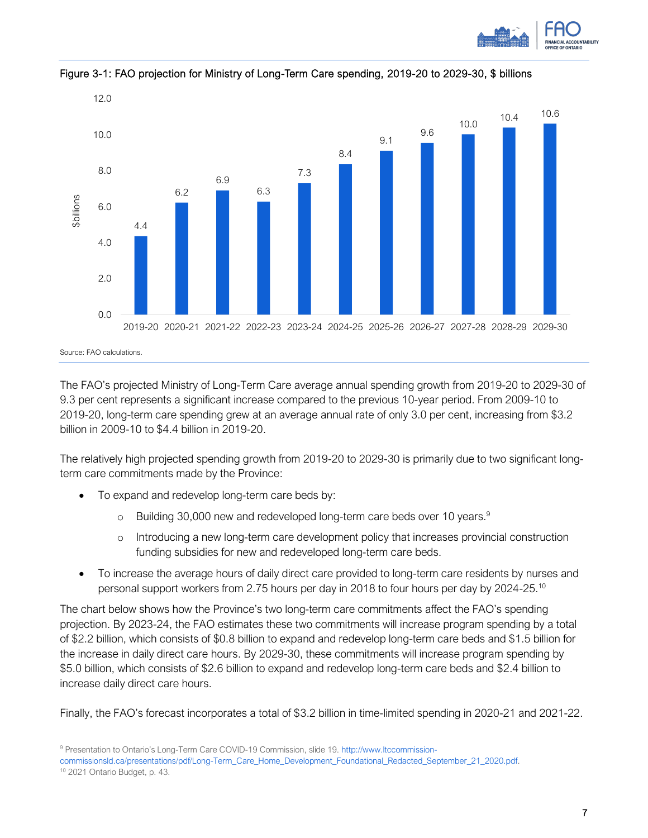



Figure 3-1: FAO projection for Ministry of Long-Term Care spending, 2019-20 to 2029-30, \$ billions

The FAO's projected Ministry of Long-Term Care average annual spending growth from 2019-20 to 2029-30 of 9.3 per cent represents a significant increase compared to the previous 10-year period. From 2009-10 to 2019-20, long-term care spending grew at an average annual rate of only 3.0 per cent, increasing from \$3.2 billion in 2009-10 to \$4.4 billion in 2019-20.

The relatively high projected spending growth from 2019-20 to 2029-30 is primarily due to two significant longterm care commitments made by the Province:

- To expand and redevelop long-term care beds by:
	- $\circ$  Building 30,000 new and redeveloped long-term care beds over 10 years.<sup>9</sup>
	- o Introducing a new long-term care development policy that increases provincial construction funding subsidies for new and redeveloped long-term care beds.
- To increase the average hours of daily direct care provided to long-term care residents by nurses and personal support workers from 2.75 hours per day in 2018 to four hours per day by 2024-25.<sup>10</sup>

The chart below shows how the Province's two long-term care commitments affect the FAO's spending projection. By 2023-24, the FAO estimates these two commitments will increase program spending by a total of \$2.2 billion, which consists of \$0.8 billion to expand and redevelop long-term care beds and \$1.5 billion for the increase in daily direct care hours. By 2029-30, these commitments will increase program spending by \$5.0 billion, which consists of \$2.6 billion to expand and redevelop long-term care beds and \$2.4 billion to increase daily direct care hours.

Finally, the FAO's forecast incorporates a total of \$3.2 billion in time-limited spending in 2020-21 and 2021-22.

<sup>9</sup> Presentation to Ontario's Long-Term Care COVID-19 Commission, slide 19[. http://www.ltccommission-](http://www.ltccommission-commissionsld.ca/presentations/pdf/Long-Term_Care_Home_Development_Foundational_Redacted_September_21_2020.pdf)

[commissionsld.ca/presentations/pdf/Long-Term\\_Care\\_Home\\_Development\\_Foundational\\_Redacted\\_September\\_21\\_2020.pdf.](http://www.ltccommission-commissionsld.ca/presentations/pdf/Long-Term_Care_Home_Development_Foundational_Redacted_September_21_2020.pdf)

<sup>10</sup> 2021 Ontario Budget, p. 43.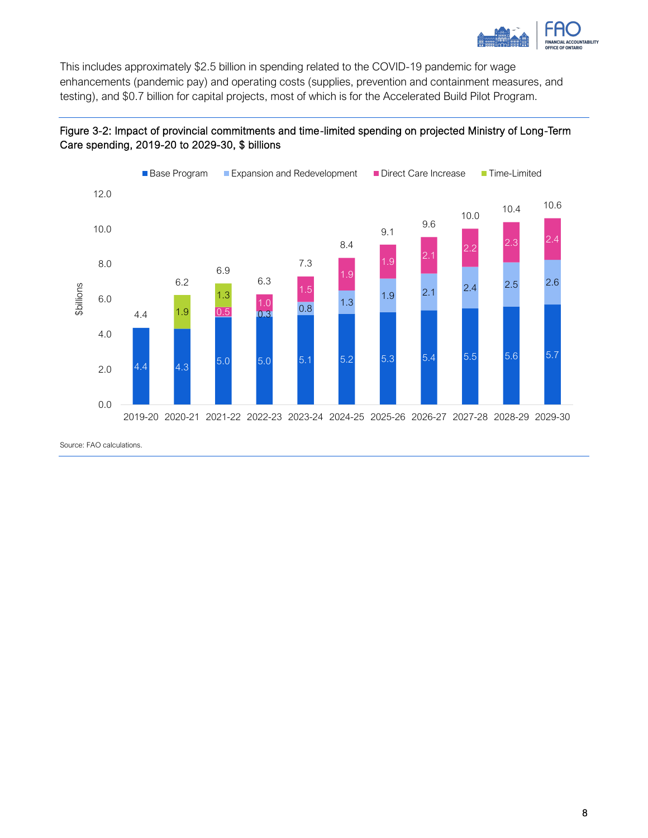

This includes approximately \$2.5 billion in spending related to the COVID-19 pandemic for wage enhancements (pandemic pay) and operating costs (supplies, prevention and containment measures, and testing), and \$0.7 billion for capital projects, most of which is for the Accelerated Build Pilot Program.

#### Figure 3-2: Impact of provincial commitments and time-limited spending on projected Ministry of Long-Term Care spending, 2019-20 to 2029-30, \$ billions



Source: FAO calculations.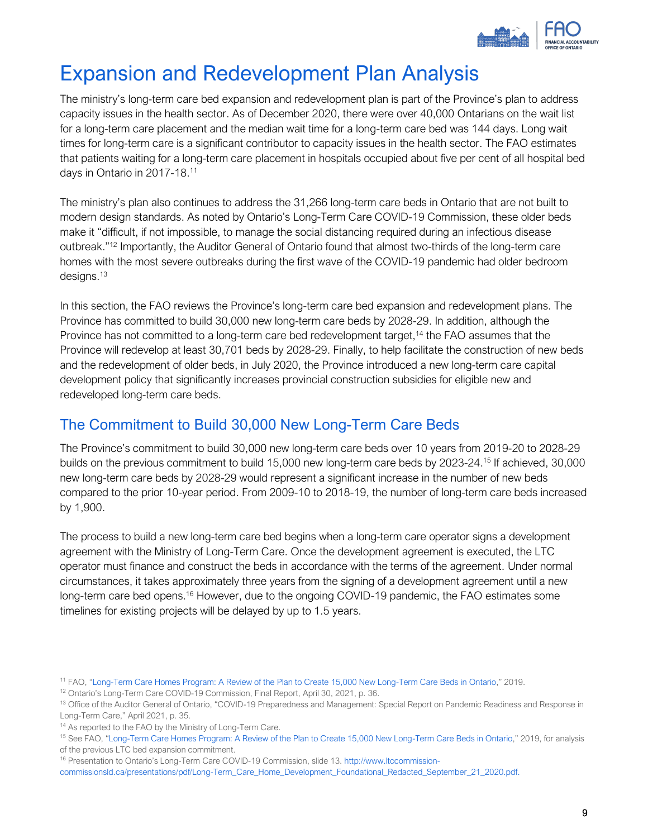

## <span id="page-11-0"></span>Expansion and Redevelopment Plan Analysis

The ministry's long-term care bed expansion and redevelopment plan is part of the Province's plan to address capacity issues in the health sector. As of December 2020, there were over 40,000 Ontarians on the wait list for a long-term care placement and the median wait time for a long-term care bed was 144 days. Long wait times for long-term care is a significant contributor to capacity issues in the health sector. The FAO estimates that patients waiting for a long-term care placement in hospitals occupied about five per cent of all hospital bed days in Ontario in 2017-18.<sup>11</sup>

The ministry's plan also continues to address the 31,266 long-term care beds in Ontario that are not built to modern design standards. As noted by Ontario's Long-Term Care COVID-19 Commission, these older beds make it "difficult, if not impossible, to manage the social distancing required during an infectious disease outbreak." <sup>12</sup> Importantly, the Auditor General of Ontario found that almost two-thirds of the long-term care homes with the most severe outbreaks during the first wave of the COVID-19 pandemic had older bedroom designs. $13$ 

In this section, the FAO reviews the Province's long-term care bed expansion and redevelopment plans. The Province has committed to build 30,000 new long-term care beds by 2028-29. In addition, although the Province has not committed to a long-term care bed redevelopment target,<sup>14</sup> the FAO assumes that the Province will redevelop at least 30,701 beds by 2028-29. Finally, to help facilitate the construction of new beds and the redevelopment of older beds, in July 2020, the Province introduced a new long-term care capital development policy that significantly increases provincial construction subsidies for eligible new and redeveloped long-term care beds.

### The Commitment to Build 30,000 New Long-Term Care Beds

The Province's commitment to build 30,000 new long-term care beds over 10 years from 2019-20 to 2028-29 builds on the previous commitment to build 15,000 new long-term care beds by 2023-24. <sup>15</sup> If achieved, 30,000 new long-term care beds by 2028-29 would represent a significant increase in the number of new beds compared to the prior 10-year period. From 2009-10 to 2018-19, the number of long-term care beds increased by 1,900.

The process to build a new long-term care bed begins when a long-term care operator signs a development agreement with the Ministry of Long-Term Care. Once the development agreement is executed, the LTC operator must finance and construct the beds in accordance with the terms of the agreement. Under normal circumstances, it takes approximately three years from the signing of a development agreement until a new long-term care bed opens.<sup>16</sup> However, due to the ongoing COVID-19 pandemic, the FAO estimates some timelines for existing projects will be delayed by up to 1.5 years.

<sup>11</sup> FAO, "[Long-Term Care Homes Program: A Review of the Plan to Create 15,000 New Long-Term Care Beds in Ontario](https://www.fao-on.org/en/Blog/Publications/ontario-long-term-care-program)," 2019.

<sup>&</sup>lt;sup>12</sup> Ontario's Long-Term Care COVID-19 Commission, Final Report, April 30, 2021, p. 36.

<sup>13</sup> Office of the Auditor General of Ontario, "COVID-19 Preparedness and Management: Special Report on Pandemic Readiness and Response in Long-Term Care," April 2021, p. 35.

<sup>&</sup>lt;sup>14</sup> As reported to the FAO by the Ministry of Long-Term Care.

<sup>15</sup> See FAO, "[Long-Term Care Homes Program: A Review of the Plan to Create 15,000 New Long-Term Care Beds in Ontario](https://www.fao-on.org/en/Blog/Publications/ontario-long-term-care-program)," 2019, for analysis of the previous LTC bed expansion commitment.

<sup>16</sup> Presentation to Ontario's Long-Term Care COVID-19 Commission, slide 13[. http://www.ltccommission-](http://www.ltccommission-commissionsld.ca/presentations/pdf/Long-Term_Care_Home_Development_Foundational_Redacted_September_21_2020.pdf)

[commissionsld.ca/presentations/pdf/Long-Term\\_Care\\_Home\\_Development\\_Foundational\\_Redacted\\_September\\_21\\_2020.pdf.](http://www.ltccommission-commissionsld.ca/presentations/pdf/Long-Term_Care_Home_Development_Foundational_Redacted_September_21_2020.pdf)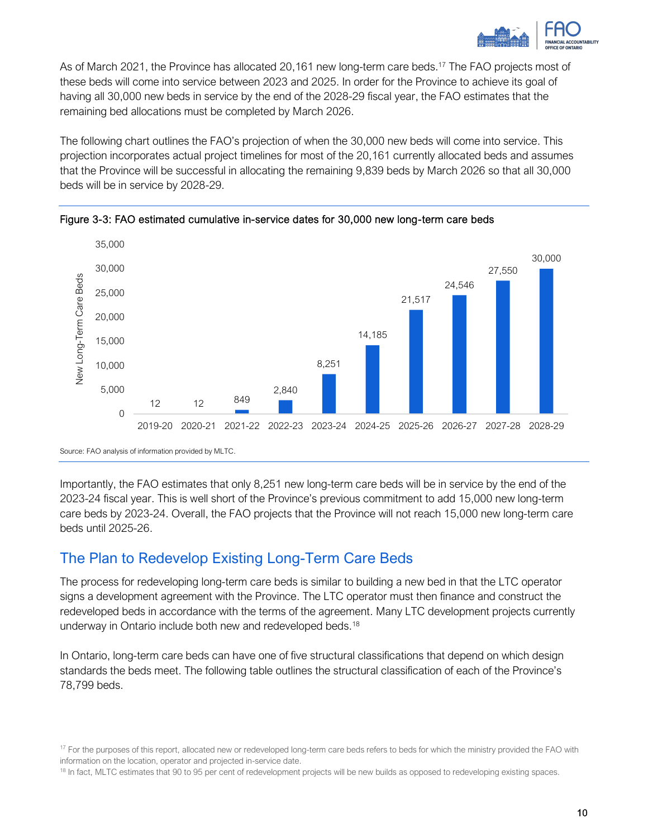

As of March 2021, the Province has allocated 20,161 new long-term care beds.<sup>17</sup> The FAO projects most of these beds will come into service between 2023 and 2025. In order for the Province to achieve its goal of having all 30,000 new beds in service by the end of the 2028-29 fiscal year, the FAO estimates that the remaining bed allocations must be completed by March 2026.

The following chart outlines the FAO's projection of when the 30,000 new beds will come into service. This projection incorporates actual project timelines for most of the 20,161 currently allocated beds and assumes that the Province will be successful in allocating the remaining 9,839 beds by March 2026 so that all 30,000 beds will be in service by 2028-29.





Source: FAO analysis of information provided by MLTC.

Importantly, the FAO estimates that only 8,251 new long-term care beds will be in service by the end of the 2023-24 fiscal year. This is well short of the Province's previous commitment to add 15,000 new long-term care beds by 2023-24. Overall, the FAO projects that the Province will not reach 15,000 new long-term care beds until 2025-26.

#### The Plan to Redevelop Existing Long-Term Care Beds

The process for redeveloping long-term care beds is similar to building a new bed in that the LTC operator signs a development agreement with the Province. The LTC operator must then finance and construct the redeveloped beds in accordance with the terms of the agreement. Many LTC development projects currently underway in Ontario include both new and redeveloped beds.<sup>18</sup>

In Ontario, long-term care beds can have one of five structural classifications that depend on which design standards the beds meet. The following table outlines the structural classification of each of the Province's 78,799 beds.

 $17$  For the purposes of this report, allocated new or redeveloped long-term care beds refers to beds for which the ministry provided the FAO with information on the location, operator and projected in-service date.

<sup>&</sup>lt;sup>18</sup> In fact, MLTC estimates that 90 to 95 per cent of redevelopment projects will be new builds as opposed to redeveloping existing spaces.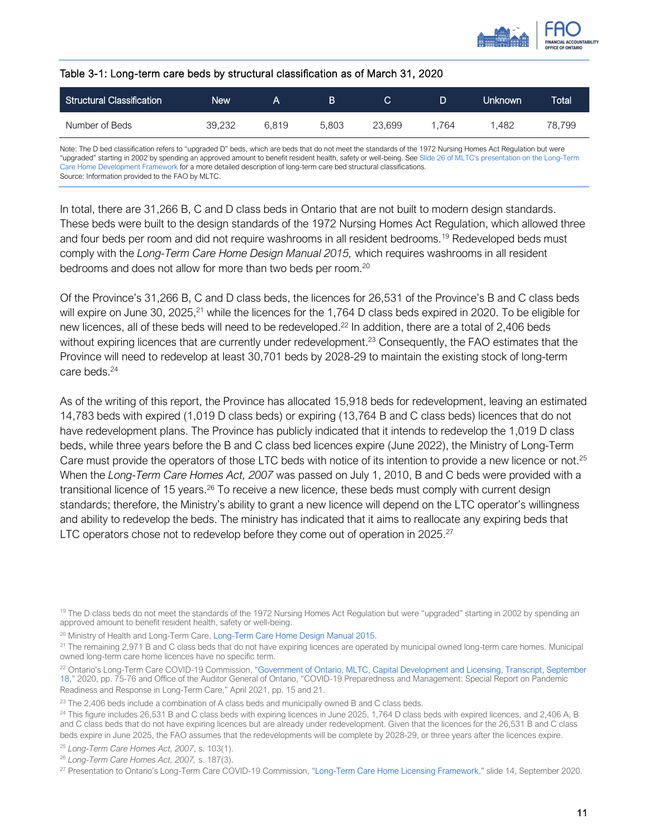

#### Table 3-1: Long-term care beds by structural classification as of March 31, 2020

| Structural Classification | New    |       | в     | С      |      | <b>Unknown</b> | <b>Total</b> |
|---------------------------|--------|-------|-------|--------|------|----------------|--------------|
| Number of Beds            | 39,232 | 6.819 | 5.803 | 23.699 | .764 | .482           | 78.799       |

Note: The D bed classification refers to "upgraded D" beds, which are beds that do not meet the standards of the 1972 Nursing Homes Act Regulation but were "upgraded" starting in 2002 by spending an approved amount to benefit resident health, safety or well-being. Se[e Slide 26 of MLTC's presentation on the Long-Term](http://www.ltccommission-commissionsld.ca/presentations/pdf/Long-Term_Care_Home_Development_Foundational_Redacted_September_21_2020.pdf)  [Care Home Development Framework](http://www.ltccommission-commissionsld.ca/presentations/pdf/Long-Term_Care_Home_Development_Foundational_Redacted_September_21_2020.pdf) for a more detailed description of long-term care bed structural classifications. Source: Information provided to the FAO by MLTC.

In total, there are 31,266 B, C and D class beds in Ontario that are not built to modern design standards. These beds were built to the design standards of the 1972 Nursing Homes Act Regulation, which allowed three and four beds per room and did not require washrooms in all resident bedrooms.<sup>19</sup> Redeveloped beds must comply with the *Long-Term Care Home Design Manual 2015,* which requires washrooms in all resident bedrooms and does not allow for more than two beds per room.<sup>20</sup>

Of the Province's 31,266 B, C and D class beds, the licences for 26,531 of the Province's B and C class beds will expire on June 30, 2025,<sup>21</sup> while the licences for the 1,764 D class beds expired in 2020. To be eligible for new licences, all of these beds will need to be redeveloped.<sup>22</sup> In addition, there are a total of 2,406 beds without expiring licences that are currently under redevelopment.<sup>23</sup> Consequently, the FAO estimates that the Province will need to redevelop at least 30,701 beds by 2028-29 to maintain the existing stock of long-term care beds.<sup>24</sup>

As of the writing of this report, the Province has allocated 15,918 beds for redevelopment, leaving an estimated 14,783 beds with expired (1,019 D class beds) or expiring (13,764 B and C class beds) licences that do not have redevelopment plans. The Province has publicly indicated that it intends to redevelop the 1,019 D class beds, while three years before the B and C class bed licences expire (June 2022), the Ministry of Long-Term Care must provide the operators of those LTC beds with notice of its intention to provide a new licence or not.<sup>25</sup> When the *Long-Term Care Homes Act, 2007* was passed on July 1, 2010, B and C beds were provided with a transitional licence of 15 years.<sup>26</sup> To receive a new licence, these beds must comply with current design standards; therefore, the Ministry's ability to grant a new licence will depend on the LTC operator's willingness and ability to redevelop the beds. The ministry has indicated that it aims to reallocate any expiring beds that LTC operators chose not to redevelop before they come out of operation in 2025.<sup>27</sup>

<sup>&</sup>lt;sup>19</sup> The D class beds do not meet the standards of the 1972 Nursing Homes Act Regulation but were "upgraded" starting in 2002 by spending an approved amount to benefit resident health, safety or well-being.

<sup>&</sup>lt;sup>20</sup> Ministry of Health and Long-Term Care, [Long-Term Care Home Design Manual 2015.](https://www.health.gov.on.ca/en/public/programs/ltc/docs/home_design_manual.pdf)

<sup>&</sup>lt;sup>21</sup> The remaining 2,971 B and C class beds that do not have expiring licences are operated by municipal owned long-term care homes. Municipal owned long-term care home licences have no specific term.

<sup>&</sup>lt;sup>22</sup> Ontario's Long-Term Care COVID-19 Commission, "Government of Ontario, MLTC, Capital Development and Licensing, Transcript, September [18](http://www.ltccommission-commissionsld.ca/transcripts/pdf/GovOntario_MLTC_CapitalDevelopmentandLicensing_Transcript_September_18_2020.pdf)," 2020, pp. 75-76 and Office of the Auditor General of Ontario, "COVID-19 Preparedness and Management: Special Report on Pandemic Readiness and Response in Long-Term Care," April 2021, pp. 15 and 21.

<sup>&</sup>lt;sup>23</sup> The 2,406 beds include a combination of A class beds and municipally owned B and C class beds.

<sup>&</sup>lt;sup>24</sup> This figure includes 26,531 B and C class beds with expiring licences in June 2025, 1,764 D class beds with expired licences, and 2,406 A, B and C class beds that do not have expiring licences but are already under redevelopment. Given that the licences for the 26,531 B and C class beds expire in June 2025, the FAO assumes that the redevelopments will be complete by 2028-29, or three years after the licences expire.

<sup>25</sup> *Long-Term Care Homes Act, 2007*, s. 103(1).

<sup>26</sup> *Long-Term Care Homes Act, 2007,* s. 187(3).

<sup>&</sup>lt;sup>27</sup> Presentation to Ontario's Long-Term Care COVID-19 Commission, "[Long-Term Care Home Licensing Framework](http://www.ltccommission-commissionsld.ca/presentations/pdf/LTC_Licensing_Foundational.pdf)," slide 14, September 2020.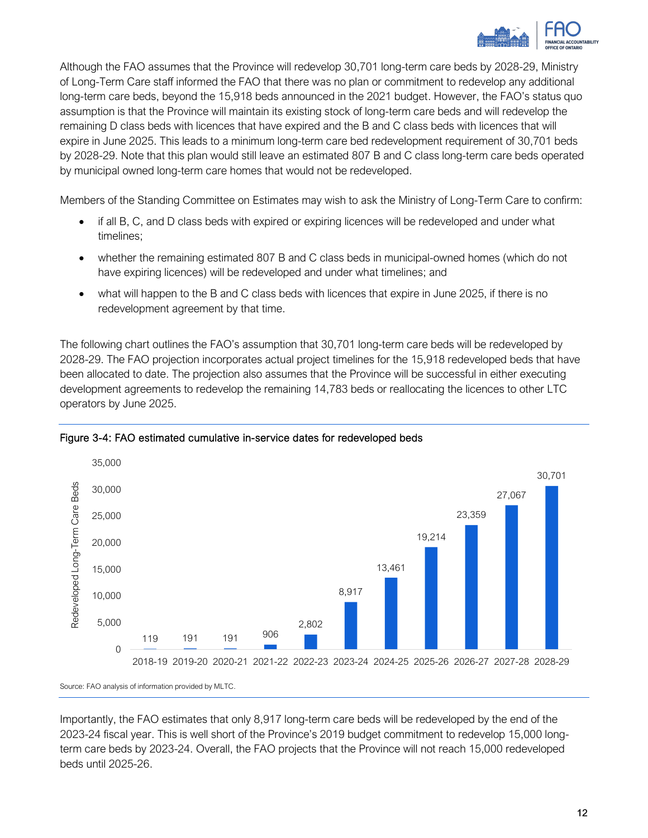

Although the FAO assumes that the Province will redevelop 30,701 long-term care beds by 2028-29, Ministry of Long-Term Care staff informed the FAO that there was no plan or commitment to redevelop any additional long-term care beds, beyond the 15,918 beds announced in the 2021 budget. However, the FAO's status quo assumption is that the Province will maintain its existing stock of long-term care beds and will redevelop the remaining D class beds with licences that have expired and the B and C class beds with licences that will expire in June 2025. This leads to a minimum long-term care bed redevelopment requirement of 30,701 beds by 2028-29. Note that this plan would still leave an estimated 807 B and C class long-term care beds operated by municipal owned long-term care homes that would not be redeveloped.

Members of the Standing Committee on Estimates may wish to ask the Ministry of Long-Term Care to confirm:

- if all B, C, and D class beds with expired or expiring licences will be redeveloped and under what timelines;
- whether the remaining estimated 807 B and C class beds in municipal-owned homes (which do not have expiring licences) will be redeveloped and under what timelines; and
- what will happen to the B and C class beds with licences that expire in June 2025, if there is no redevelopment agreement by that time.

The following chart outlines the FAO's assumption that 30,701 long-term care beds will be redeveloped by 2028-29. The FAO projection incorporates actual project timelines for the 15,918 redeveloped beds that have been allocated to date. The projection also assumes that the Province will be successful in either executing development agreements to redevelop the remaining 14,783 beds or reallocating the licences to other LTC operators by June 2025.



Figure 3-4: FAO estimated cumulative in-service dates for redeveloped beds

Importantly, the FAO estimates that only 8,917 long-term care beds will be redeveloped by the end of the 2023-24 fiscal year. This is well short of the Province's 2019 budget commitment to redevelop 15,000 longterm care beds by 2023-24. Overall, the FAO projects that the Province will not reach 15,000 redeveloped beds until 2025-26.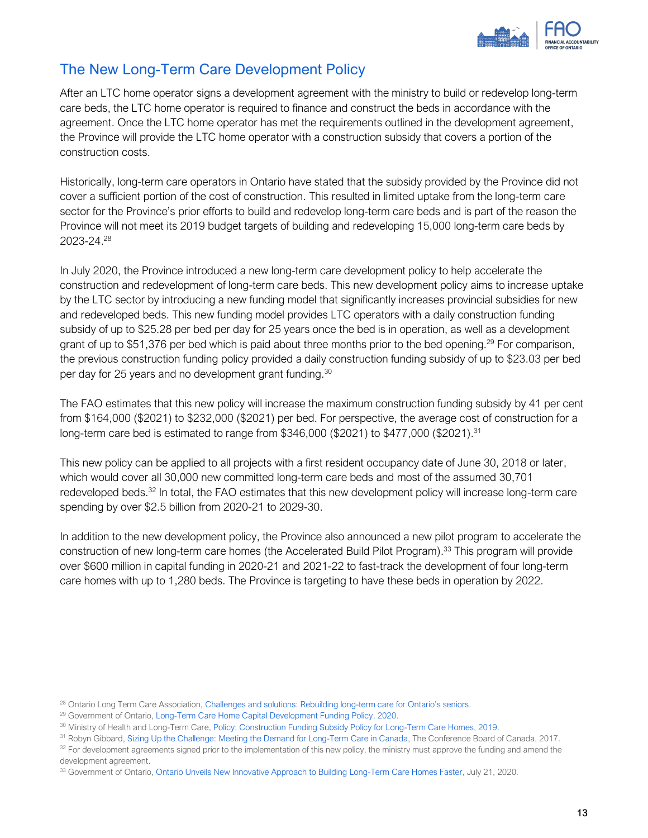

### The New Long-Term Care Development Policy

After an LTC home operator signs a development agreement with the ministry to build or redevelop long-term care beds, the LTC home operator is required to finance and construct the beds in accordance with the agreement. Once the LTC home operator has met the requirements outlined in the development agreement, the Province will provide the LTC home operator with a construction subsidy that covers a portion of the construction costs.

Historically, long-term care operators in Ontario have stated that the subsidy provided by the Province did not cover a sufficient portion of the cost of construction. This resulted in limited uptake from the long-term care sector for the Province's prior efforts to build and redevelop long-term care beds and is part of the reason the Province will not meet its 2019 budget targets of building and redeveloping 15,000 long-term care beds by 2023-24. 28

In July 2020, the Province introduced a new long-term care development policy to help accelerate the construction and redevelopment of long-term care beds. This new development policy aims to increase uptake by the LTC sector by introducing a new funding model that significantly increases provincial subsidies for new and redeveloped beds. This new funding model provides LTC operators with a daily construction funding subsidy of up to \$25.28 per bed per day for 25 years once the bed is in operation, as well as a development grant of up to \$51,376 per bed which is paid about three months prior to the bed opening.<sup>29</sup> For comparison, the previous construction funding policy provided a daily construction funding subsidy of up to \$23.03 per bed per day for 25 years and no development grant funding.<sup>30</sup>

The FAO estimates that this new policy will increase the maximum construction funding subsidy by 41 per cent from \$164,000 (\$2021) to \$232,000 (\$2021) per bed. For perspective, the average cost of construction for a long-term care bed is estimated to range from \$346,000 (\$2021) to \$477,000 (\$2021).<sup>31</sup>

This new policy can be applied to all projects with a first resident occupancy date of June 30, 2018 or later, which would cover all 30,000 new committed long-term care beds and most of the assumed 30,701 redeveloped beds.<sup>32</sup> In total, the FAO estimates that this new development policy will increase long-term care spending by over \$2.5 billion from 2020-21 to 2029-30.

In addition to the new development policy, the Province also announced a new pilot program to accelerate the construction of new long-term care homes (the Accelerated Build Pilot Program).<sup>33</sup> This program will provide over \$600 million in capital funding in 2020-21 and 2021-22 to fast-track the development of four long-term care homes with up to 1,280 beds. The Province is targeting to have these beds in operation by 2022.

 $32$  For development agreements signed prior to the implementation of this new policy, the ministry must approve the funding and amend the development agreement.

33 Government of Ontario[, Ontario Unveils New Innovative Approach to Building Long-Term Care Homes Faster,](https://news.ontario.ca/en/release/57690/ontario-unveils-new-innovative-approach-to-building-long-term-care-homes-faster) July 21, 2020.

<sup>&</sup>lt;sup>28</sup> Ontario Long Term Care Association, [Challenges and solutions: Rebuilding long-](https://www.oltca.com/OLTCA/Documents/Reports/OLTCA-2020-Budget-Submission---final.pdf)term care for Ontario's seniors.

<sup>&</sup>lt;sup>29</sup> Government of Ontario[, Long-Term Care Home Capital Development Funding Policy, 2020.](https://www.ontario.ca/page/long-term-care-home-capital-development-funding-policy-2020)

<sup>30</sup> Ministry of Health and Long-Term Care, [Policy: Construction Funding Subsidy Policy for Long-Term Care Homes, 2019.](https://www.health.gov.on.ca/en/public/programs/ltc/docs/policy_funding_constructioncosts.pdf)

<sup>&</sup>lt;sup>31</sup> Robyn Gibbard, [Sizing Up the Challenge: Meeting the Demand for Long-Term Care in Canada,](https://www.conferenceboard.ca/e-library/abstract.aspx?did=9228) The Conference Board of Canada, 2017.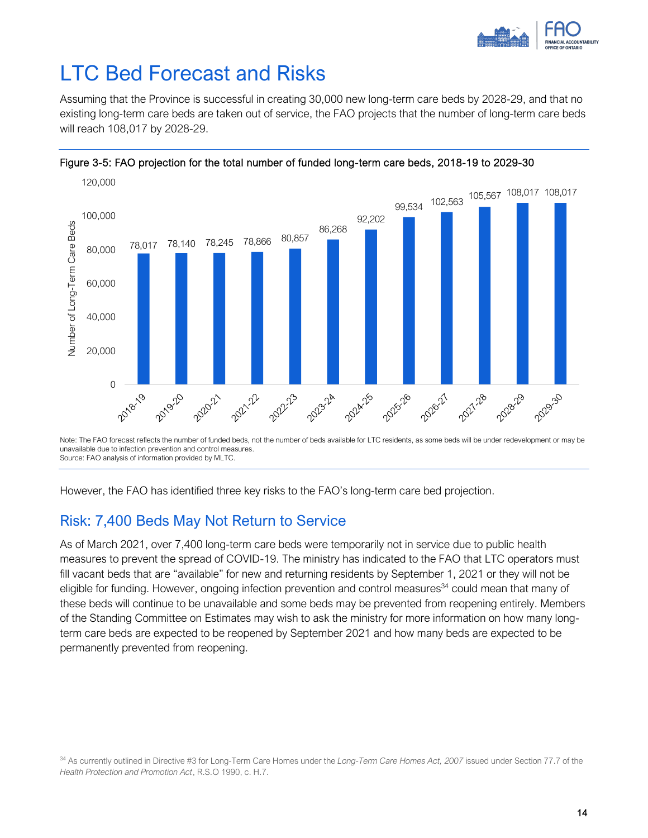

## <span id="page-16-0"></span>LTC Bed Forecast and Risks

Assuming that the Province is successful in creating 30,000 new long-term care beds by 2028-29, and that no existing long-term care beds are taken out of service, the FAO projects that the number of long-term care beds will reach 108,017 by 2028-29.





Note: The FAO forecast reflects the number of funded beds, not the number of beds available for LTC residents, as some beds will be under redevelopment or may be unavailable due to infection prevention and control measures. Source: FAO analysis of information provided by MLTC.

However, the FAO has identified three key risks to the FAO's long-term care bed projection.

#### Risk: 7,400 Beds May Not Return to Service

As of March 2021, over 7,400 long-term care beds were temporarily not in service due to public health measures to prevent the spread of COVID-19. The ministry has indicated to the FAO that LTC operators must fill vacant beds that are "available" for new and returning residents by September 1, 2021 or they will not be eligible for funding. However, ongoing infection prevention and control measures<sup>34</sup> could mean that many of these beds will continue to be unavailable and some beds may be prevented from reopening entirely. Members of the Standing Committee on Estimates may wish to ask the ministry for more information on how many longterm care beds are expected to be reopened by September 2021 and how many beds are expected to be permanently prevented from reopening.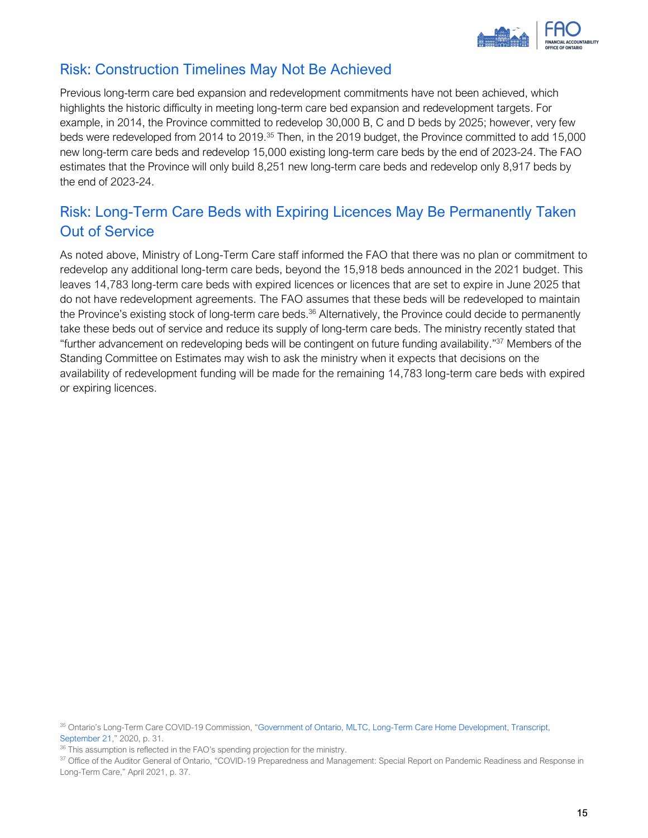

### Risk: Construction Timelines May Not Be Achieved

Previous long-term care bed expansion and redevelopment commitments have not been achieved, which highlights the historic difficulty in meeting long-term care bed expansion and redevelopment targets. For example, in 2014, the Province committed to redevelop 30,000 B, C and D beds by 2025; however, very few beds were redeveloped from 2014 to 2019.<sup>35</sup> Then, in the 2019 budget, the Province committed to add 15,000 new long-term care beds and redevelop 15,000 existing long-term care beds by the end of 2023-24. The FAO estimates that the Province will only build 8,251 new long-term care beds and redevelop only 8,917 beds by the end of 2023-24.

## Risk: Long-Term Care Beds with Expiring Licences May Be Permanently Taken Out of Service

As noted above, Ministry of Long-Term Care staff informed the FAO that there was no plan or commitment to redevelop any additional long-term care beds, beyond the 15,918 beds announced in the 2021 budget. This leaves 14,783 long-term care beds with expired licences or licences that are set to expire in June 2025 that do not have redevelopment agreements. The FAO assumes that these beds will be redeveloped to maintain the Province's existing stock of long-term care beds.<sup>36</sup> Alternatively, the Province could decide to permanently take these beds out of service and reduce its supply of long-term care beds. The ministry recently stated that "further advancement on redeveloping beds will be contingent on future funding availability."<sup>37</sup> Members of the Standing Committee on Estimates may wish to ask the ministry when it expects that decisions on the availability of redevelopment funding will be made for the remaining 14,783 long-term care beds with expired or expiring licences.

<sup>35</sup> Ontario's Long-Term Care COVID-19 Commission, "Government of Ontario, MLTC, Long-Term Care Home Development, Transcript, [September 21](http://www.ltccommission-commissionsld.ca/transcripts/pdf/Government_of_Ontario_MLTC_Briefing_on_LTC_Capital_Transcript_September_21_2020.pdf)," 2020, p. 31.

 $36$  This assumption is reflected in the FAO's spending projection for the ministry.

<sup>37</sup> Office of the Auditor General of Ontario, "COVID-19 Preparedness and Management: Special Report on Pandemic Readiness and Response in Long-Term Care," April 2021, p. 37.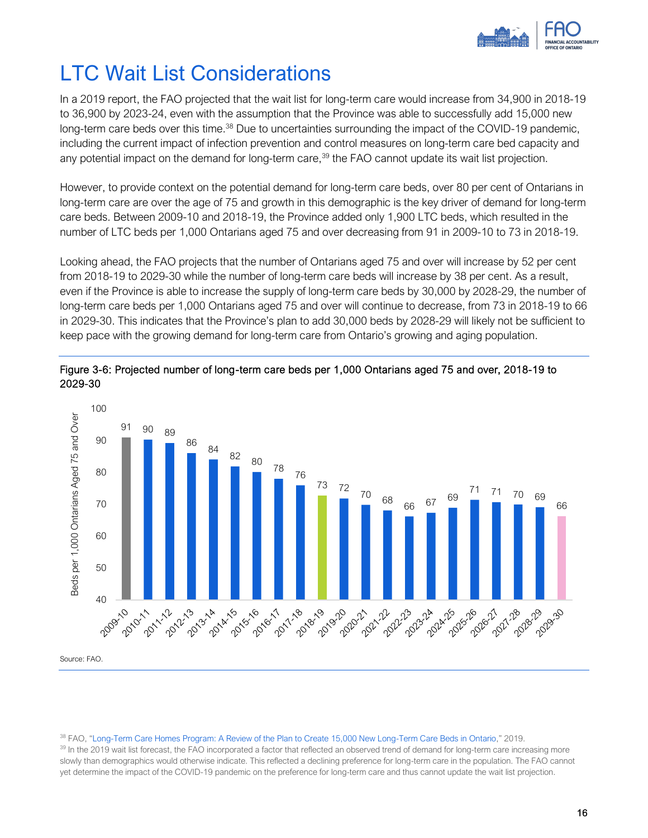

## <span id="page-18-0"></span>LTC Wait List Considerations

In a 2019 report, the FAO projected that the wait list for long-term care would increase from 34,900 in 2018-19 to 36,900 by 2023-24, even with the assumption that the Province was able to successfully add 15,000 new long-term care beds over this time.<sup>38</sup> Due to uncertainties surrounding the impact of the COVID-19 pandemic, including the current impact of infection prevention and control measures on long-term care bed capacity and any potential impact on the demand for long-term care,<sup>39</sup> the FAO cannot update its wait list projection.

However, to provide context on the potential demand for long-term care beds, over 80 per cent of Ontarians in long-term care are over the age of 75 and growth in this demographic is the key driver of demand for long-term care beds. Between 2009-10 and 2018-19, the Province added only 1,900 LTC beds, which resulted in the number of LTC beds per 1,000 Ontarians aged 75 and over decreasing from 91 in 2009-10 to 73 in 2018-19.

Looking ahead, the FAO projects that the number of Ontarians aged 75 and over will increase by 52 per cent from 2018-19 to 2029-30 while the number of long-term care beds will increase by 38 per cent. As a result, even if the Province is able to increase the supply of long-term care beds by 30,000 by 2028-29, the number of long-term care beds per 1,000 Ontarians aged 75 and over will continue to decrease, from 73 in 2018-19 to 66 in 2029-30. This indicates that the Province's plan to add 30,000 beds by 2028-29 will likely not be sufficient to keep pace with the growing demand for long-term care from Ontario's growing and aging population.





Source: FAO.

#### <sup>38</sup> FAO, "[Long-Term Care Homes Program: A Review of the Plan to Create 15,000 New Long-Term Care Beds in Ontario](https://www.fao-on.org/en/Blog/Publications/ontario-long-term-care-program)," 2019.

<sup>39</sup> In the 2019 wait list forecast, the FAO incorporated a factor that reflected an observed trend of demand for long-term care increasing more slowly than demographics would otherwise indicate. This reflected a declining preference for long-term care in the population. The FAO cannot yet determine the impact of the COVID-19 pandemic on the preference for long-term care and thus cannot update the wait list projection.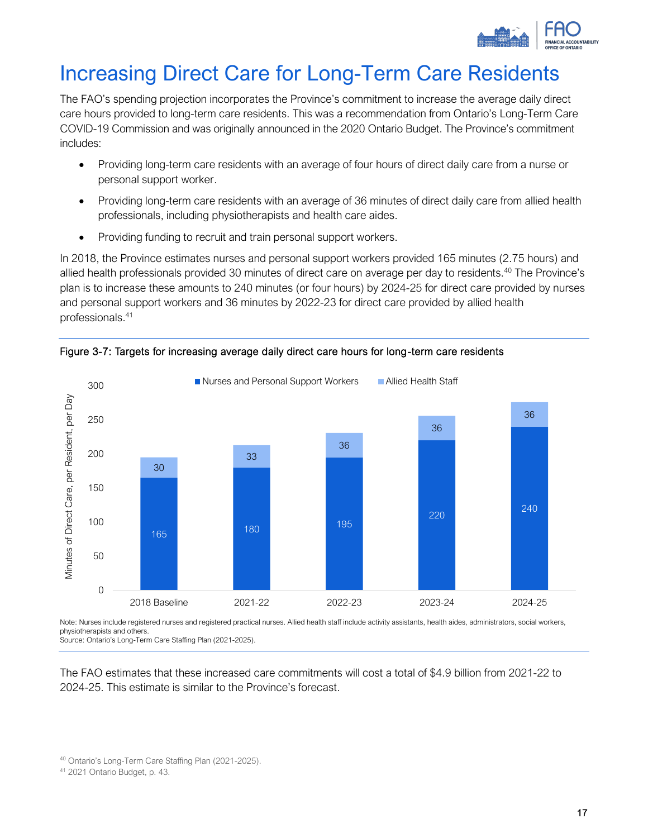

# <span id="page-19-0"></span>Increasing Direct Care for Long-Term Care Residents

The FAO's spending projection incorporates the Province's commitment to increase the average daily direct care hours provided to long-term care residents. This was a recommendation from Ontario's Long-Term Care COVID-19 Commission and was originally announced in the 2020 Ontario Budget. The Province's commitment includes:

- Providing long-term care residents with an average of four hours of direct daily care from a nurse or personal support worker.
- Providing long-term care residents with an average of 36 minutes of direct daily care from allied health professionals, including physiotherapists and health care aides.
- Providing funding to recruit and train personal support workers.

In 2018, the Province estimates nurses and personal support workers provided 165 minutes (2.75 hours) and allied health professionals provided 30 minutes of direct care on average per day to residents.<sup>40</sup> The Province's plan is to increase these amounts to 240 minutes (or four hours) by 2024-25 for direct care provided by nurses and personal support workers and 36 minutes by 2022-23 for direct care provided by allied health professionals. 41





Note: Nurses include registered nurses and registered practical nurses. Allied health staff include activity assistants, health aides, administrators, social workers, physiotherapists and others.

Source: Ontario's Long-Term Care Staffing Plan (2021-2025).

The FAO estimates that these increased care commitments will cost a total of \$4.9 billion from 2021-22 to 2024-25. This estimate is similar to the Province's forecast.

<sup>40</sup> Ontario's Long-Term Care Staffing Plan (2021-2025).

<sup>41</sup> 2021 Ontario Budget, p. 43.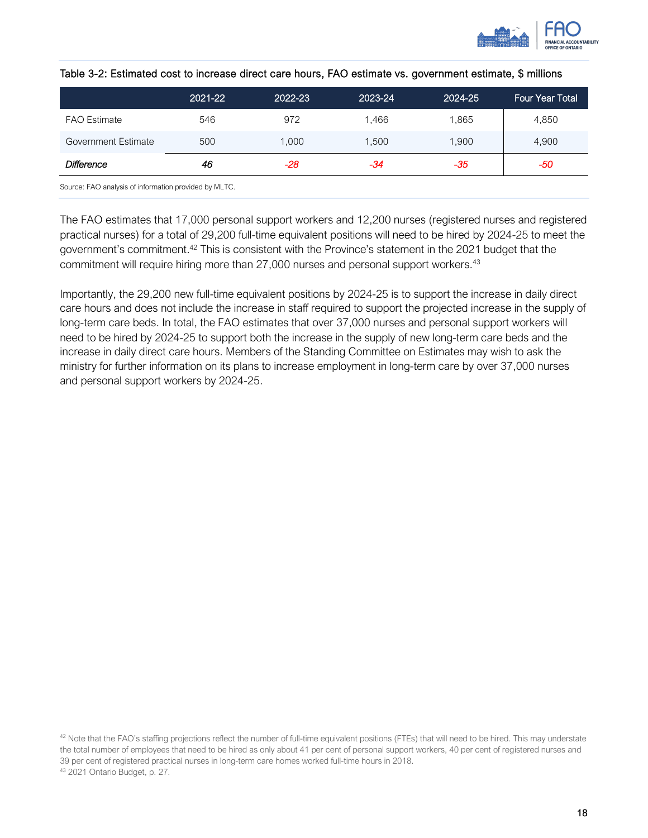

|                                                                                                                 | 2021-22 | 2022-23 | 2023-24 | 2024-25 | <b>Four Year Total</b> |
|-----------------------------------------------------------------------------------------------------------------|---------|---------|---------|---------|------------------------|
| <b>FAO</b> Estimate                                                                                             | 546     | 972     | 1.466   | 1,865   | 4,850                  |
| Government Estimate                                                                                             | 500     | 1,000   | 1,500   | 1,900   | 4,900                  |
| <b>Difference</b>                                                                                               | 46      | -28     | -34     | -35     | -50                    |
| $O_{\text{SUSY}}$ , $\Gamma \wedge \overline{O}$ is a state of taken and the constitution of the $\overline{O}$ |         |         |         |         |                        |

| Table 3-2: Estimated cost to increase direct care hours, FAO estimate vs. government estimate, \$ millions |  |  |
|------------------------------------------------------------------------------------------------------------|--|--|
|------------------------------------------------------------------------------------------------------------|--|--|

Source: FAO analysis of information provided by MLTC.

The FAO estimates that 17,000 personal support workers and 12,200 nurses (registered nurses and registered practical nurses) for a total of 29,200 full-time equivalent positions will need to be hired by 2024-25 to meet the government's commitment.<sup>42</sup> This is consistent with the Province's statement in the 2021 budget that the commitment will require hiring more than 27,000 nurses and personal support workers.<sup>43</sup>

Importantly, the 29,200 new full-time equivalent positions by 2024-25 is to support the increase in daily direct care hours and does not include the increase in staff required to support the projected increase in the supply of long-term care beds. In total, the FAO estimates that over 37,000 nurses and personal support workers will need to be hired by 2024-25 to support both the increase in the supply of new long-term care beds and the increase in daily direct care hours. Members of the Standing Committee on Estimates may wish to ask the ministry for further information on its plans to increase employment in long-term care by over 37,000 nurses and personal support workers by 2024-25.

<sup>42</sup> Note that the FAO's staffing projections reflect the number of full-time equivalent positions (FTEs) that will need to be hired. This may understate the total number of employees that need to be hired as only about 41 per cent of personal support workers, 40 per cent of registered nurses and 39 per cent of registered practical nurses in long-term care homes worked full-time hours in 2018. <sup>43</sup> 2021 Ontario Budget, p. 27.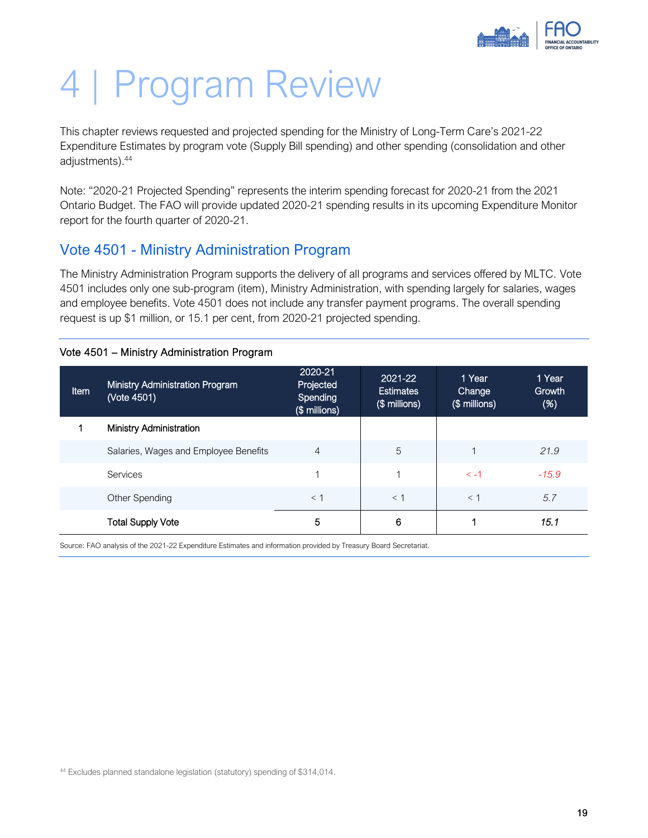

# <span id="page-21-0"></span>4 | Program Review

This chapter reviews requested and projected spending for the Ministry of Long-Term Care's 2021-22 Expenditure Estimates by program vote (Supply Bill spending) and other spending (consolidation and other adjustments).<sup>44</sup>

Note: "2020-21 Projected Spending" represents the interim spending forecast for 2020-21 from the 2021 Ontario Budget. The FAO will provide updated 2020-21 spending results in its upcoming Expenditure Monitor report for the fourth quarter of 2020-21.

#### <span id="page-21-1"></span>Vote 4501 - Ministry Administration Program

The Ministry Administration Program supports the delivery of all programs and services offered by MLTC. Vote 4501 includes only one sub-program (item), Ministry Administration, with spending largely for salaries, wages and employee benefits. Vote 4501 does not include any transfer payment programs. The overall spending request is up \$1 million, or 15.1 per cent, from 2020-21 projected spending.

| Vote 4501 - Ministry Administration Program |  |  |  |  |
|---------------------------------------------|--|--|--|--|
|---------------------------------------------|--|--|--|--|

| <b>Item</b> | <b>Ministry Administration Program</b><br>(Vote 4501) | 2020-21<br>Projected<br>Spending<br>(\$ millions) | 2021-22<br><b>Estimates</b><br>(\$ millions) | 1 Year<br>Change<br>(\$ millions) | 1 Year<br>Growth<br>(%) |
|-------------|-------------------------------------------------------|---------------------------------------------------|----------------------------------------------|-----------------------------------|-------------------------|
|             | Ministry Administration                               |                                                   |                                              |                                   |                         |
|             | Salaries, Wages and Employee Benefits                 | 4                                                 | 5                                            |                                   | 21.9                    |
|             | Services                                              |                                                   |                                              | $\leq -1$                         | $-15.9$                 |
|             | Other Spending                                        | $<$ 1                                             | $<$ 1                                        | $<$ 1                             | 5.7                     |
|             | <b>Total Supply Vote</b>                              | 5                                                 | 6                                            |                                   | 15.1                    |

Source: FAO analysis of the 2021-22 Expenditure Estimates and information provided by Treasury Board Secretariat.

<sup>44</sup> Excludes planned standalone legislation (statutory) spending of \$314,014.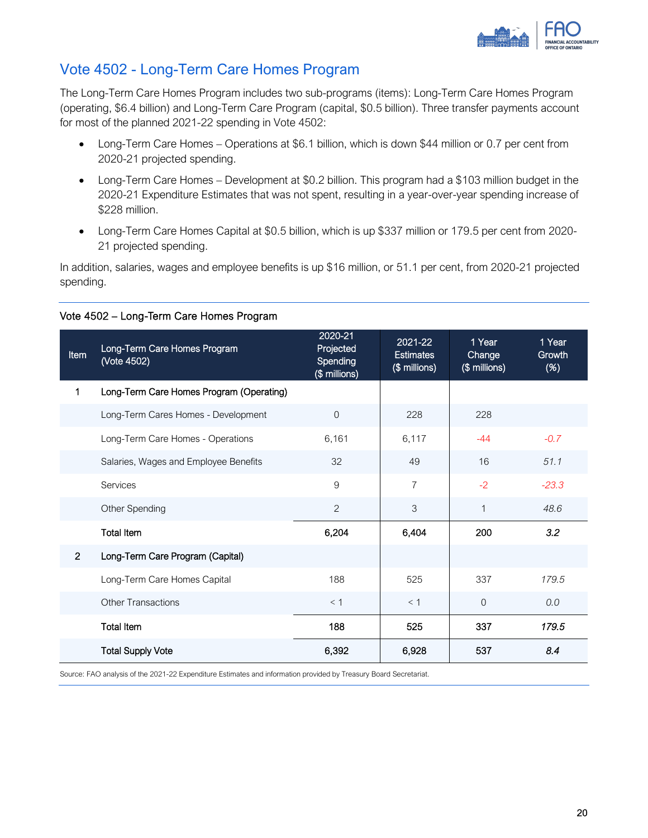

### <span id="page-22-0"></span>Vote 4502 - Long-Term Care Homes Program

The Long-Term Care Homes Program includes two sub-programs (items): Long-Term Care Homes Program (operating, \$6.4 billion) and Long-Term Care Program (capital, \$0.5 billion). Three transfer payments account for most of the planned 2021-22 spending in Vote 4502:

- Long-Term Care Homes Operations at \$6.1 billion, which is down \$44 million or 0.7 per cent from 2020-21 projected spending.
- Long-Term Care Homes Development at \$0.2 billion. This program had a \$103 million budget in the 2020-21 Expenditure Estimates that was not spent, resulting in a year-over-year spending increase of \$228 million.
- Long-Term Care Homes Capital at \$0.5 billion, which is up \$337 million or 179.5 per cent from 2020- 21 projected spending.

In addition, salaries, wages and employee benefits is up \$16 million, or 51.1 per cent, from 2020-21 projected spending.

| Item           | Long-Term Care Homes Program<br>(Vote 4502) | 2020-21<br>Projected<br>Spending<br>(\$ millions) | 2021-22<br><b>Estimates</b><br>(\$ millions) | 1 Year<br>Change<br>(\$ millions) | 1 Year<br>Growth<br>(%) |
|----------------|---------------------------------------------|---------------------------------------------------|----------------------------------------------|-----------------------------------|-------------------------|
| 1              | Long-Term Care Homes Program (Operating)    |                                                   |                                              |                                   |                         |
|                | Long-Term Cares Homes - Development         | 0                                                 | 228                                          | 228                               |                         |
|                | Long-Term Care Homes - Operations           | 6,161                                             | 6,117                                        | $-44$                             | $-0.7$                  |
|                | Salaries, Wages and Employee Benefits       | 32                                                | 49                                           | 16                                | 51.1                    |
|                | Services                                    | 9                                                 | $\overline{7}$                               | $-2$                              | $-23.3$                 |
|                | Other Spending                              | $\overline{2}$                                    | 3                                            | $\mathbf{1}$                      | 48.6                    |
|                | <b>Total Item</b>                           | 6,204                                             | 6,404                                        | 200                               | 3.2                     |
| $\overline{2}$ | Long-Term Care Program (Capital)            |                                                   |                                              |                                   |                         |
|                | Long-Term Care Homes Capital                | 188                                               | 525                                          | 337                               | 179.5                   |
|                | <b>Other Transactions</b>                   | < 1                                               | $<$ 1                                        | $\Omega$                          | 0.0                     |
|                | <b>Total Item</b>                           | 188                                               | 525                                          | 337                               | 179.5                   |
|                | <b>Total Supply Vote</b>                    | 6,392                                             | 6,928                                        | 537                               | 8.4                     |

#### Vote 4502 – Long-Term Care Homes Program

Source: FAO analysis of the 2021-22 Expenditure Estimates and information provided by Treasury Board Secretariat.